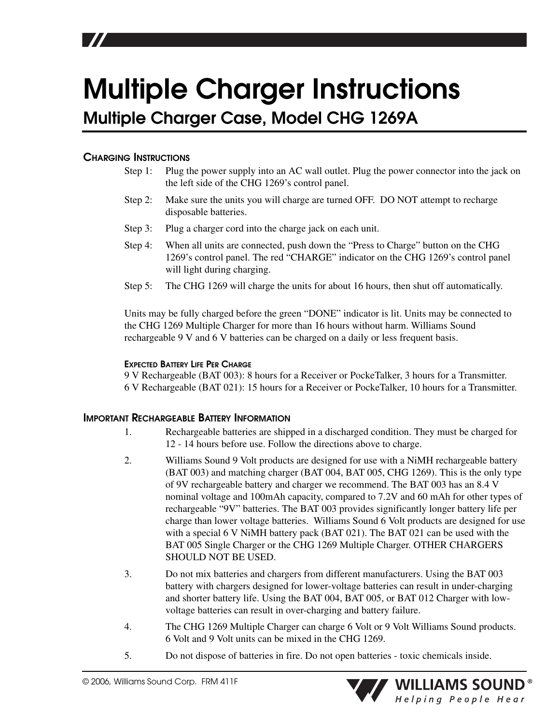# **Multiple Charger Instructions**

**Multiple Charger Case, Model CHG 1269A**

### **CHARGING INSTRUCTIONS**

- Step 1: Plug the power supply into an AC wall outlet. Plug the power connector into the jack on the left side of the CHG 1269's control panel.
- Step 2: Make sure the units you will charge are turned OFF. DO NOT attempt to recharge disposable batteries.
- Step 3: Plug a charger cord into the charge jack on each unit.
- Step 4: When all units are connected, push down the "Press to Charge" button on the CHG 1269's control panel. The red "CHARGE" indicator on the CHG 1269's control panel will light during charging.
- Step 5: The CHG 1269 will charge the units for about 16 hours, then shut off automatically.

Units may be fully charged before the green "DONE" indicator is lit. Units may be connected to the CHG 1269 Multiple Charger for more than 16 hours without harm. Williams Sound rechargeable 9 V and 6 V batteries can be charged on a daily or less frequent basis.

### **EXPECTED BATTERY LIFE PER CHARGE**

9 V Rechargeable (BAT 003): 8 hours for a Receiver or PockeTalker, 3 hours for a Transmitter. 6 V Rechargeable (BAT 021): 15 hours for a Receiver or PockeTalker, 10 hours for a Transmitter.

### **IMPORTANT RECHARGEABLE BATTERY INFORMATION**

- 1. Rechargeable batteries are shipped in a discharged condition. They must be charged for 12 - 14 hours before use. Follow the directions above to charge.
- 2. Williams Sound 9 Volt products are designed for use with a NiMH rechargeable battery (BAT 003) and matching charger (BAT 004, BAT 005, CHG 1269). This is the only type of 9V rechargeable battery and charger we recommend. The BAT 003 has an 8.4 V nominal voltage and 100mAh capacity, compared to 7.2V and 60 mAh for other types of rechargeable "9V" batteries. The BAT 003 provides significantly longer battery life per charge than lower voltage batteries. Williams Sound 6 Volt products are designed for use with a special 6 V NiMH battery pack (BAT 021). The BAT 021 can be used with the BAT 005 Single Charger or the CHG 1269 Multiple Charger. OTHER CHARGERS SHOULD NOT BE USED.
- 3. Do not mix batteries and chargers from different manufacturers. Using the BAT 003 battery with chargers designed for lower-voltage batteries can result in under-charging and shorter battery life. Using the BAT 004, BAT 005, or BAT 012 Charger with lowvoltage batteries can result in over-charging and battery failure.
- 4. The CHG 1269 Multiple Charger can charge 6 Volt or 9 Volt Williams Sound products. 6 Volt and 9 Volt units can be mixed in the CHG 1269.
- 5. Do not dispose of batteries in fire. Do not open batteries toxic chemicals inside.